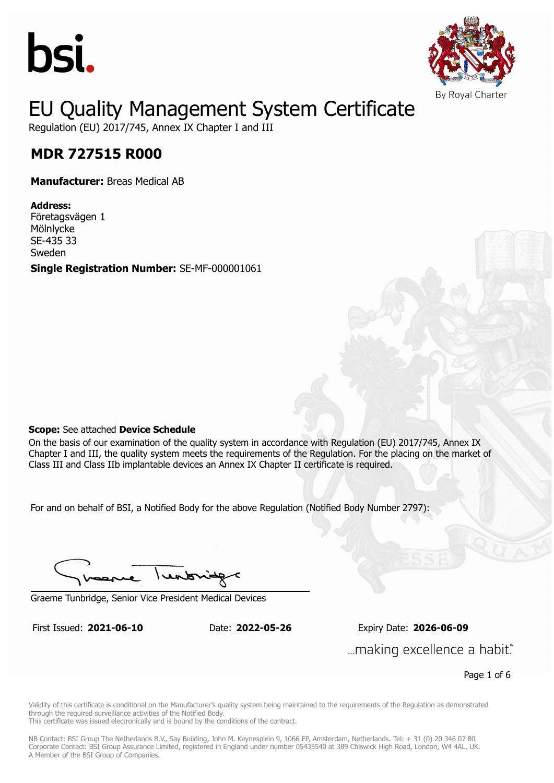



Regulation (EU) 2017/745, Annex IX Chapter I and III

## **MDR 727515 R000 MDR 727515 R000**

**Manufacturer:** Breas Medical AB

**Address:** Företagsvägen 1 Mölnlycke SE-435 33 Sweden **Single Registration Number:** SE-MF-000001061

#### **Scope:** See attached **Device Schedule**

On the basis of our examination of the quality system in accordance with Regulation (EU) 2017/745, Annex IX Chapter I and III, the quality system meets the requirements of the Regulation. For the placing on the market of Class III and Class IIb implantable devices an Annex IX Chapter II certificate is required.

For and on behalf of BSI, a Notified Body for the above Regulation (Notified Body Number 2797):

lentonid

Graeme Tunbridge, Senior Vice President Medical Devices

First Issued: **2021-06-10** Date: **2022-05-26** Expiry Date: **2026-06-09** First Issued: **2021-06-10** Date: **2022-05-26** Expiry Date: **2026-06-09** ... making excellence a habit."

Page 1 of 6

Validity of this certificate is conditional on the Manufacturer's quality system being maintained to the requirements of the Regulation as demonstrated through the required surveillance activities of the Notified Body.

This certificate was issued electronically and is bound by the conditions of the contract.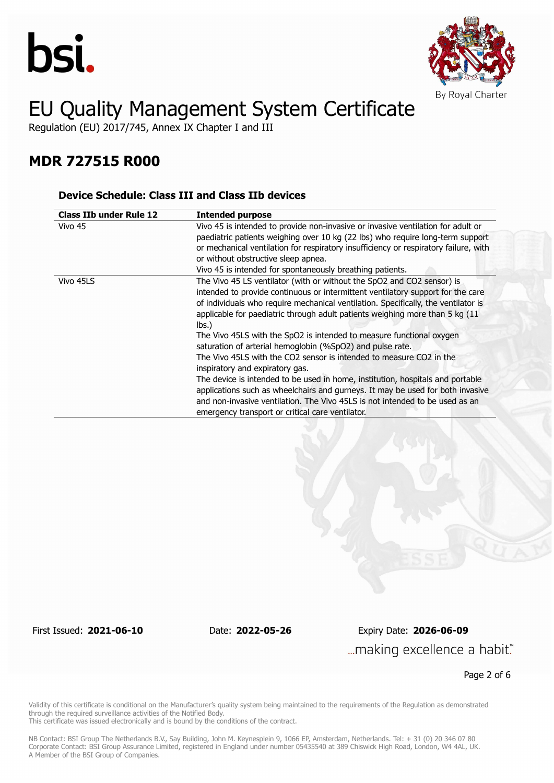



Regulation (EU) 2017/745, Annex IX Chapter I and III

### **MDR 727515 R000**

#### **Device Schedule: Class III and Class IIb devices**

| <b>Class IIb under Rule 12</b> | <b>Intended purpose</b>                                                                                                                                                                                                                                                                                                                                                                                                                                                                                                                                                                                                                                                                                                                                                                                                                                                                        |
|--------------------------------|------------------------------------------------------------------------------------------------------------------------------------------------------------------------------------------------------------------------------------------------------------------------------------------------------------------------------------------------------------------------------------------------------------------------------------------------------------------------------------------------------------------------------------------------------------------------------------------------------------------------------------------------------------------------------------------------------------------------------------------------------------------------------------------------------------------------------------------------------------------------------------------------|
| Vivo 45                        | Vivo 45 is intended to provide non-invasive or invasive ventilation for adult or<br>paediatric patients weighing over 10 kg (22 lbs) who require long-term support<br>or mechanical ventilation for respiratory insufficiency or respiratory failure, with<br>or without obstructive sleep apnea.<br>Vivo 45 is intended for spontaneously breathing patients.                                                                                                                                                                                                                                                                                                                                                                                                                                                                                                                                 |
| Vivo 45LS                      | The Vivo 45 LS ventilator (with or without the SpO2 and CO2 sensor) is<br>intended to provide continuous or intermittent ventilatory support for the care<br>of individuals who require mechanical ventilation. Specifically, the ventilator is<br>applicable for paediatric through adult patients weighing more than 5 kg (11<br>lbs.<br>The Vivo 45LS with the SpO2 is intended to measure functional oxygen<br>saturation of arterial hemoglobin (%SpO2) and pulse rate.<br>The Vivo 45LS with the CO2 sensor is intended to measure CO2 in the<br>inspiratory and expiratory gas.<br>The device is intended to be used in home, institution, hospitals and portable<br>applications such as wheelchairs and gurneys. It may be used for both invasive<br>and non-invasive ventilation. The Vivo 45LS is not intended to be used as an<br>emergency transport or critical care ventilator. |

First Issued: **2021-06-10** Date: **2022-05-26** Expiry Date: **2026-06-09** ... making excellence a habit."

Page 2 of 6

Validity of this certificate is conditional on the Manufacturer's quality system being maintained to the requirements of the Regulation as demonstrated through the required surveillance activities of the Notified Body.

This certificate was issued electronically and is bound by the conditions of the contract.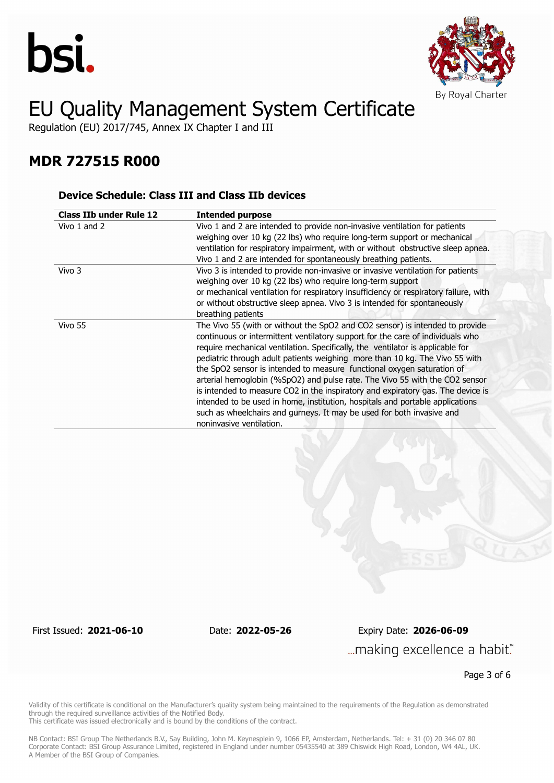



Regulation (EU) 2017/745, Annex IX Chapter I and III

### **MDR 727515 R000**

#### **Device Schedule: Class III and Class IIb devices**

| <b>Class IIb under Rule 12</b> | <b>Intended purpose</b>                                                                                                                                                                                                                                                                                                                                                                                                                                                                                                                                                                                                                                                                                                                                           |  |
|--------------------------------|-------------------------------------------------------------------------------------------------------------------------------------------------------------------------------------------------------------------------------------------------------------------------------------------------------------------------------------------------------------------------------------------------------------------------------------------------------------------------------------------------------------------------------------------------------------------------------------------------------------------------------------------------------------------------------------------------------------------------------------------------------------------|--|
| Vivo 1 and 2                   | Vivo 1 and 2 are intended to provide non-invasive ventilation for patients<br>weighing over 10 kg (22 lbs) who reguire long-term support or mechanical<br>ventilation for respiratory impairment, with or without obstructive sleep apnea.<br>Vivo 1 and 2 are intended for spontaneously breathing patients.                                                                                                                                                                                                                                                                                                                                                                                                                                                     |  |
| Vivo 3                         | Vivo 3 is intended to provide non-invasive or invasive ventilation for patients<br>weighing over 10 kg (22 lbs) who require long-term support<br>or mechanical ventilation for respiratory insufficiency or respiratory failure, with<br>or without obstructive sleep apnea. Vivo 3 is intended for spontaneously<br>breathing patients                                                                                                                                                                                                                                                                                                                                                                                                                           |  |
| Vivo 55                        | The Vivo 55 (with or without the SpO2 and CO2 sensor) is intended to provide<br>continuous or intermittent ventilatory support for the care of individuals who<br>require mechanical ventilation. Specifically, the ventilator is applicable for<br>pediatric through adult patients weighing more than 10 kg. The Vivo 55 with<br>the SpO2 sensor is intended to measure functional oxygen saturation of<br>arterial hemoglobin (%SpO2) and pulse rate. The Vivo 55 with the CO2 sensor<br>is intended to measure CO2 in the inspiratory and expiratory gas. The device is<br>intended to be used in home, institution, hospitals and portable applications<br>such as wheelchairs and gurneys. It may be used for both invasive and<br>noninvasive ventilation. |  |

First Issued: **2021-06-10** Date: **2022-05-26** Expiry Date: **2026-06-09** ... making excellence a habit."

Page 3 of 6

Validity of this certificate is conditional on the Manufacturer's quality system being maintained to the requirements of the Regulation as demonstrated through the required surveillance activities of the Notified Body.

This certificate was issued electronically and is bound by the conditions of the contract.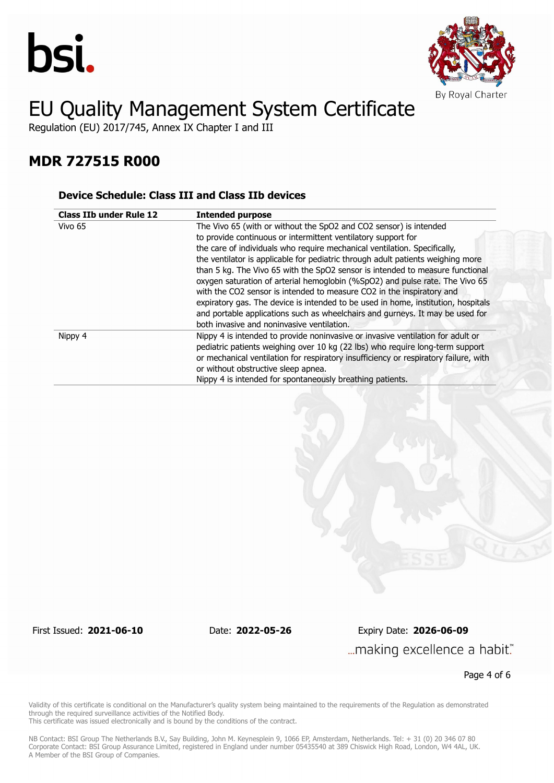



Regulation (EU) 2017/745, Annex IX Chapter I and III

### **MDR 727515 R000**

#### **Device Schedule: Class III and Class IIb devices**

| <b>Class IIb under Rule 12</b> | <b>Intended purpose</b>                                                                                                                                                                                                                                                                                                                                                                                                                                                                                                                                                                                                                                                                                                                                          |
|--------------------------------|------------------------------------------------------------------------------------------------------------------------------------------------------------------------------------------------------------------------------------------------------------------------------------------------------------------------------------------------------------------------------------------------------------------------------------------------------------------------------------------------------------------------------------------------------------------------------------------------------------------------------------------------------------------------------------------------------------------------------------------------------------------|
| Vivo 65                        | The Vivo 65 (with or without the SpO2 and CO2 sensor) is intended<br>to provide continuous or intermittent ventilatory support for<br>the care of individuals who require mechanical ventilation. Specifically,<br>the ventilator is applicable for pediatric through adult patients weighing more<br>than 5 kg. The Vivo 65 with the SpO2 sensor is intended to measure functional<br>oxygen saturation of arterial hemoglobin (%SpO2) and pulse rate. The Vivo 65<br>with the CO2 sensor is intended to measure CO2 in the inspiratory and<br>expiratory gas. The device is intended to be used in home, institution, hospitals<br>and portable applications such as wheelchairs and gurneys. It may be used for<br>both invasive and noninvasive ventilation. |
| Nippy 4                        | Nippy 4 is intended to provide noninvasive or invasive ventilation for adult or<br>pediatric patients weighing over 10 kg (22 lbs) who require long-term support<br>or mechanical ventilation for respiratory insufficiency or respiratory failure, with<br>or without obstructive sleep apnea.<br>Nippy 4 is intended for spontaneously breathing patients.                                                                                                                                                                                                                                                                                                                                                                                                     |

First Issued: **2021-06-10** Date: **2022-05-26** Expiry Date: **2026-06-09** ... making excellence a habit."

Page 4 of 6

Validity of this certificate is conditional on the Manufacturer's quality system being maintained to the requirements of the Regulation as demonstrated through the required surveillance activities of the Notified Body.

This certificate was issued electronically and is bound by the conditions of the contract.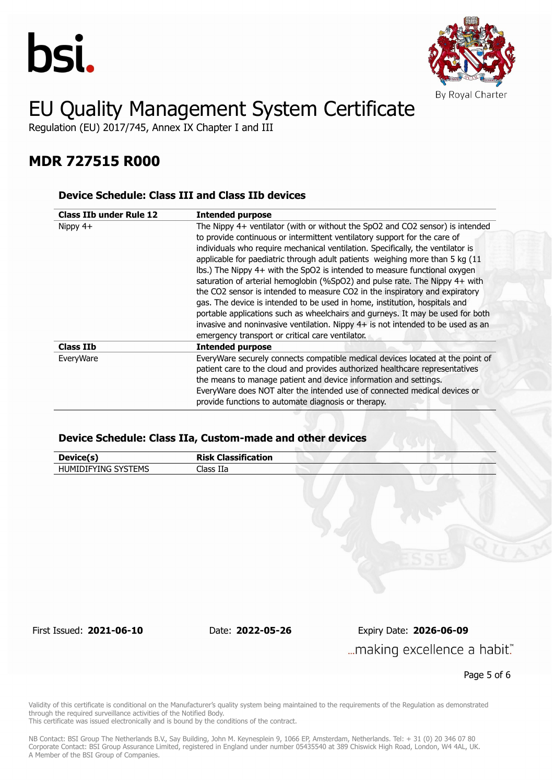



Regulation (EU) 2017/745, Annex IX Chapter I and III

### **MDR 727515 R000**

#### **Device Schedule: Class III and Class IIb devices**

| <b>Class IIb under Rule 12</b> | <b>Intended purpose</b>                                                                                                                                                                                                                                                                                                                                                                                                                                                                                                                                                                                                                                                                                                                                                                                                                                                         |  |
|--------------------------------|---------------------------------------------------------------------------------------------------------------------------------------------------------------------------------------------------------------------------------------------------------------------------------------------------------------------------------------------------------------------------------------------------------------------------------------------------------------------------------------------------------------------------------------------------------------------------------------------------------------------------------------------------------------------------------------------------------------------------------------------------------------------------------------------------------------------------------------------------------------------------------|--|
| Nippy $4+$                     | The Nippy 4+ ventilator (with or without the SpO2 and CO2 sensor) is intended<br>to provide continuous or intermittent ventilatory support for the care of<br>individuals who require mechanical ventilation. Specifically, the ventilator is<br>applicable for paediatric through adult patients weighing more than 5 kg (11<br>Ibs.) The Nippy 4+ with the SpO2 is intended to measure functional oxygen<br>saturation of arterial hemoglobin (%SpO2) and pulse rate. The Nippy 4+ with<br>the CO2 sensor is intended to measure CO2 in the inspiratory and expiratory<br>gas. The device is intended to be used in home, institution, hospitals and<br>portable applications such as wheelchairs and gurneys. It may be used for both<br>invasive and noninvasive ventilation. Nippy 4+ is not intended to be used as an<br>emergency transport or critical care ventilator. |  |
| <b>Class IIb</b>               | <b>Intended purpose</b>                                                                                                                                                                                                                                                                                                                                                                                                                                                                                                                                                                                                                                                                                                                                                                                                                                                         |  |
| EveryWare                      | EveryWare securely connects compatible medical devices located at the point of<br>patient care to the cloud and provides authorized healthcare representatives<br>the means to manage patient and device information and settings.<br>EveryWare does NOT alter the intended use of connected medical devices or<br>provide functions to automate diagnosis or therapy.                                                                                                                                                                                                                                                                                                                                                                                                                                                                                                          |  |

#### **Device Schedule: Class IIa, Custom-made and other devices**

| Device(s)                | <b>Risk Classification</b> |                                                        |
|--------------------------|----------------------------|--------------------------------------------------------|
| HUMIDIFYING SYSTEMS      | Class IIa                  |                                                        |
|                          |                            |                                                        |
| First Issued: 2021-06-10 | Date: 2022-05-26           | Expiry Date: 2026-06-09<br>making excellence a habit." |

Page 5 of 6

Validity of this certificate is conditional on the Manufacturer's quality system being maintained to the requirements of the Regulation as demonstrated through the required surveillance activities of the Notified Body.

This certificate was issued electronically and is bound by the conditions of the contract.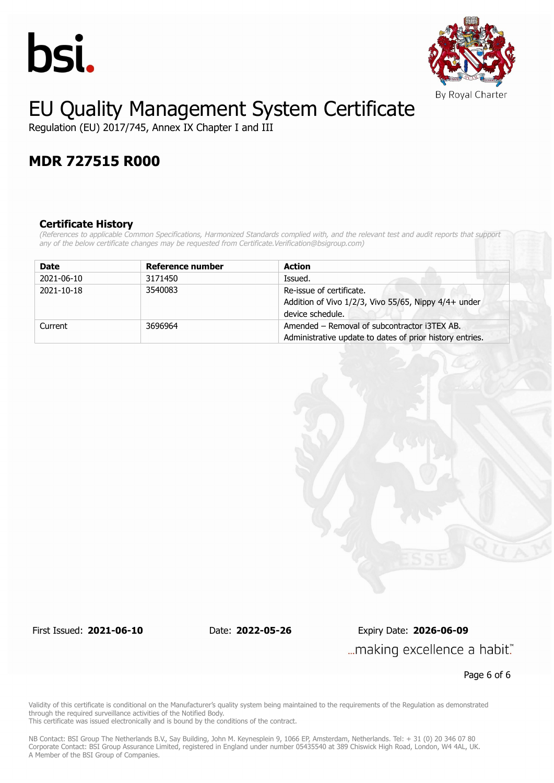



Regulation (EU) 2017/745, Annex IX Chapter I and III

### **MDR 727515 R000**

#### **Certificate History**

*(References to applicable Common Specifications, Harmonized Standards complied with, and the relevant test and audit reports that support any of the below certificate changes may be requested from Certificate.Verification@bsigroup.com)*

| <b>Date</b> | Reference number | <b>Action</b>                                                                                            |
|-------------|------------------|----------------------------------------------------------------------------------------------------------|
| 2021-06-10  | 3171450          | Issued.                                                                                                  |
| 2021-10-18  | 3540083          | Re-issue of certificate.<br>Addition of Vivo 1/2/3, Vivo 55/65, Nippy 4/4+ under<br>device schedule.     |
| Current     | 3696964          | Amended – Removal of subcontractor i3TEX AB.<br>Administrative update to dates of prior history entries. |

First Issued: **2021-06-10** Date: **2022-05-26** Expiry Date: **2026-06-09** ... making excellence a habit."

Page 6 of 6

Validity of this certificate is conditional on the Manufacturer's quality system being maintained to the requirements of the Regulation as demonstrated through the required surveillance activities of the Notified Body.

This certificate was issued electronically and is bound by the conditions of the contract.